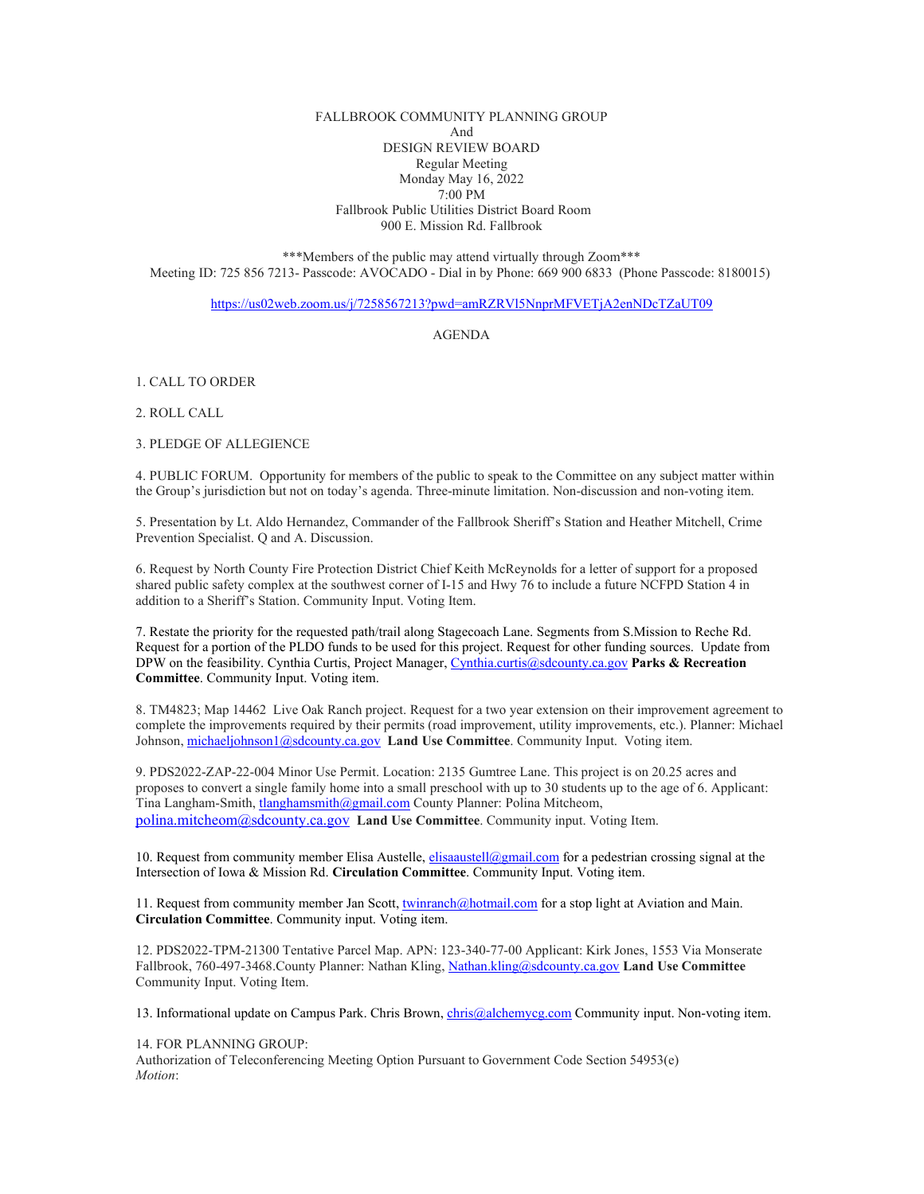FALLBROOK COMMUNITY PLANNING GROUP And DESIGN REVIEW BOARD Regular Meeting Monday May 16, 2022 7:00 PM Fallbrook Public Utilities District Board Room 900 E. Mission Rd. Fallbrook

\*\*\*Members of the public may attend virtually through Zoom\*\*\* Meeting ID: 725 856 7213- Passcode: AVOCADO - Dial in by Phone: 669 900 6833 (Phone Passcode: 8180015)

<https://us02web.zoom.us/j/7258567213?pwd=amRZRVl5NnprMFVETjA2enNDcTZaUT09>

AGENDA

1. CALL TO ORDER

2. ROLL CALL

3. PLEDGE OF ALLEGIENCE

4. PUBLIC FORUM. Opportunity for members of the public to speak to the Committee on any subject matter within the Group's jurisdiction but not on today's agenda. Three-minute limitation. Non-discussion and non-voting item.

5. Presentation by Lt. Aldo Hernandez, Commander of the Fallbrook Sheriff's Station and Heather Mitchell, Crime Prevention Specialist. Q and A. Discussion.

6. Request by North County Fire Protection District Chief Keith McReynolds for a letter of support for a proposed shared public safety complex at the southwest corner of I-15 and Hwy 76 to include a future NCFPD Station 4 in addition to a Sheriff's Station. Community Input. Voting Item.

7. Restate the priority for the requested path/trail along Stagecoach Lane. Segments from S.Mission to Reche Rd. Request for a portion of the PLDO funds to be used for this project. Request for other funding sources. Update from DPW on the feasibility. Cynthia Curtis, Project Manager[, Cynthia.curtis@sdcounty.ca.gov](mailto:Cynthia.curtis@sdcounty.ca.gov) **Parks & Recreation Committee**. Community Input. Voting item.

8. TM4823; Map 14462 Live Oak Ranch project. Request for a two year extension on their improvement agreement to complete the improvements required by their permits (road improvement, utility improvements, etc.). Planner: Michael Johnson, [michaeljohnson1@sdcounty.ca.gov](mailto:michaeljohnson1@sdcounty.ca.gov) **Land Use Committee**. Community Input. Voting item.

9. PDS2022-ZAP-22-004 Minor Use Permit. Location: 2135 Gumtree Lane. This project is on 20.25 acres and proposes to convert a single family home into a small preschool with up to 30 students up to the age of 6. Applicant: Tina Langham-Smith[, tlanghamsmith@gmail.com](mailto:tlanghamsmith@gmail.com) County Planner: Polina Mitcheom, [polina.mitcheom@sdcounty.ca.gov](mailto:polina.mitcheom@sdcounty.ca.gov) **Land Use Committee**. Community input. Voting Item.

10. Request from community member Elisa Austelle[, elisaaustell@gmail.com](mailto:elisaaustell@gmail.com) for a pedestrian crossing signal at the Intersection of Iowa & Mission Rd. **Circulation Committee**. Community Input. Voting item.

11. Request from community member Jan Scott[, twinranch@hotmail.com](mailto:twinranch@hotmail.com) for a stop light at Aviation and Main. **Circulation Committee**. Community input. Voting item.

12. PDS2022-TPM-21300 Tentative Parcel Map. APN: 123-340-77-00 Applicant: Kirk Jones, 1553 Via Monserate Fallbrook, 760-497-3468.County Planner: Nathan Kling, [Nathan.kling@sdcounty.ca.gov](mailto:Nathan.kling@sdcounty.ca.gov) **Land Use Committee** Community Input. Voting Item.

13. Informational update on Campus Park. Chris Brown[, chris@alchemycg.com](mailto:chris@alchemycg.com) Community input. Non-voting item.

14. FOR PLANNING GROUP:

Authorization of Teleconferencing Meeting Option Pursuant to Government Code Section 54953(e) *Motion*: